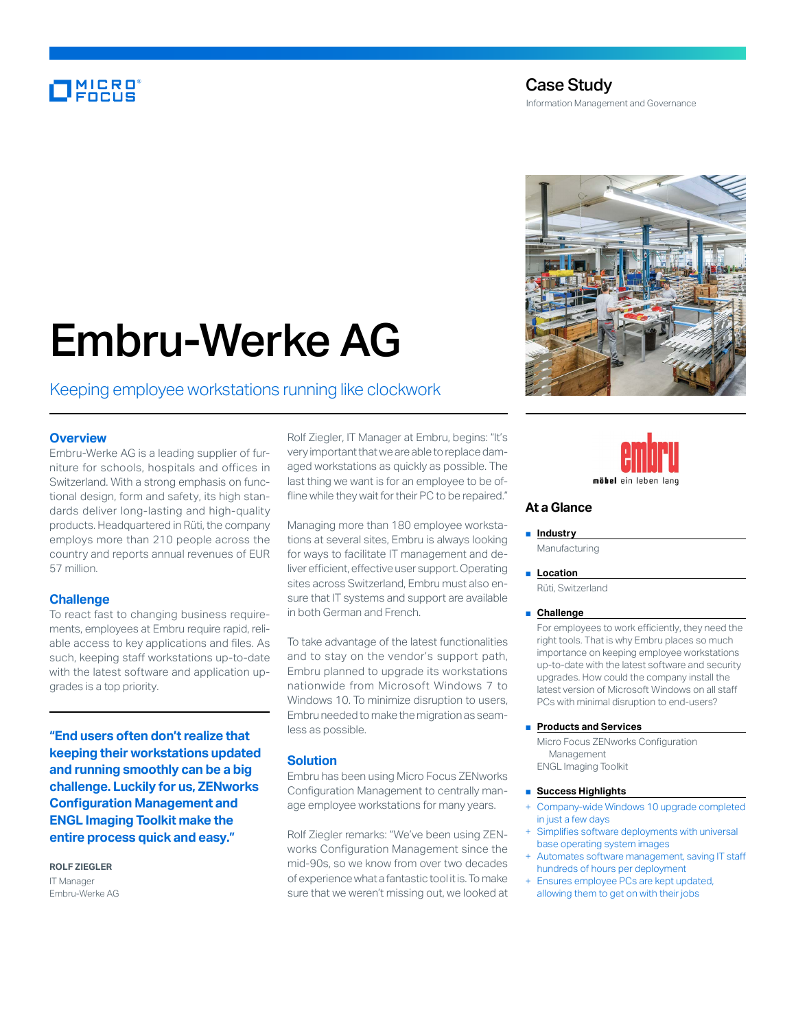# **MICRO**

### Case Study Information Management and Governance

# Embru-Werke AG

## Keeping employee workstations running like clockwork

#### **Overview**

Embru-Werke AG is a leading supplier of furniture for schools, hospitals and offices in Switzerland. With a strong emphasis on functional design, form and safety, its high standards deliver long-lasting and high-quality products. Headquartered in Rüti, the company employs more than 210 people across the country and reports annual revenues of EUR 57 million.

#### **Challenge**

To react fast to changing business requirements, employees at Embru require rapid, reliable access to key applications and files. As such, keeping staff workstations up-to-date with the latest software and application upgrades is a top priority.

**"End users often don't realize that keeping their workstations updated and running smoothly can be a big challenge. Luckily for us, ZENworks Configuration Management and ENGL Imaging Toolkit make the entire process quick and easy."**

**ROLF ZIEGLER** IT Manager Embru-Werke AG Rolf Ziegler, IT Manager at Embru, begins: "It's very important that we are able to replace damaged workstations as quickly as possible. The last thing we want is for an employee to be offline while they wait for their PC to be repaired."

Managing more than 180 employee workstations at several sites, Embru is always looking for ways to facilitate IT management and deliver efficient, effective user support. Operating sites across Switzerland, Embru must also ensure that IT systems and support are available in both German and French.

To take advantage of the latest functionalities and to stay on the vendor's support path, Embru planned to upgrade its workstations nationwide from Microsoft Windows 7 to Windows 10. To minimize disruption to users, Embru needed to make the migration as seamless as possible.

#### **Solution**

Embru has been using Micro Focus ZENworks Configuration Management to centrally manage employee workstations for many years.

Rolf Ziegler remarks: "We've been using ZENworks Configuration Management since the mid-90s, so we know from over two decades of experience what a fantastic tool it is. To make sure that we weren't missing out, we looked at





#### **At a Glance**

#### ■ **Industry**

Manufacturing

#### ■ **Location**

Rüti, Switzerland

#### ■ **Challenge**

For employees to work efficiently, they need the right tools. That is why Embru places so much importance on keeping employee workstations up-to-date with the latest software and security upgrades. How could the company install the latest version of Microsoft Windows on all staff PCs with minimal disruption to end-users?

#### ■ **Products and Services**

Micro Focus ZENworks Configuration Management ENGL Imaging Toolkit

#### ■ **Success Highlights**

- Company-wide Windows 10 upgrade completed in just a few days
- Simplifies software deployments with universal base operating system images
- Automates software management, saving IT staff hundreds of hours per deployment
- Ensures employee PCs are kept updated, allowing them to get on with their jobs